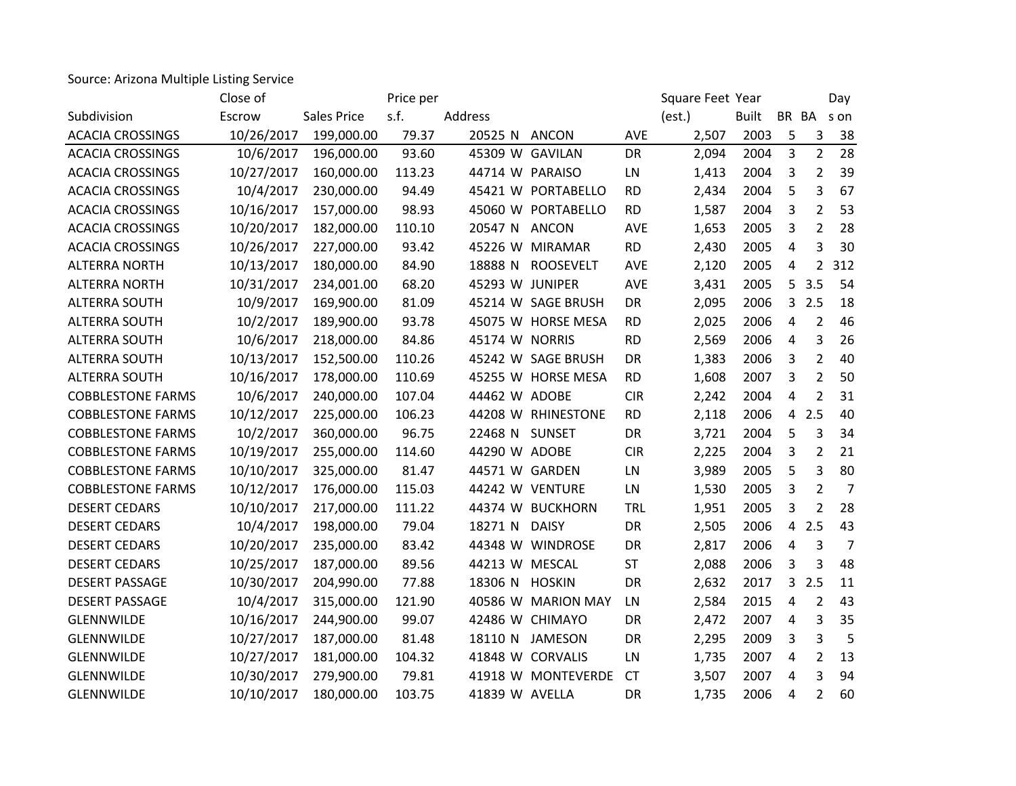Source: Arizona Multiple Listing Service

|                          | Close of   |                    | Price per |                 |                    |            | Square Feet Year |              |                | Day            |                |
|--------------------------|------------|--------------------|-----------|-----------------|--------------------|------------|------------------|--------------|----------------|----------------|----------------|
| Subdivision              | Escrow     | <b>Sales Price</b> | s.f.      | Address         |                    |            | (est.)           | <b>Built</b> |                | BR BA son      |                |
| <b>ACACIA CROSSINGS</b>  | 10/26/2017 | 199,000.00         | 79.37     | 20525 N ANCON   |                    | <b>AVE</b> | 2,507            | 2003         | 5              | 3              | 38             |
| <b>ACACIA CROSSINGS</b>  | 10/6/2017  | 196,000.00         | 93.60     | 45309 W GAVILAN |                    | DR         | 2,094            | 2004         | 3              | $\overline{2}$ | 28             |
| <b>ACACIA CROSSINGS</b>  | 10/27/2017 | 160,000.00         | 113.23    | 44714 W PARAISO |                    | LN         | 1,413            | 2004         | 3              | $\overline{2}$ | 39             |
| <b>ACACIA CROSSINGS</b>  | 10/4/2017  | 230,000.00         | 94.49     |                 | 45421 W PORTABELLO | <b>RD</b>  | 2,434            | 2004         | 5              | 3              | 67             |
| <b>ACACIA CROSSINGS</b>  | 10/16/2017 | 157,000.00         | 98.93     |                 | 45060 W PORTABELLO | <b>RD</b>  | 1,587            | 2004         | 3              | $\overline{2}$ | 53             |
| <b>ACACIA CROSSINGS</b>  | 10/20/2017 | 182,000.00         | 110.10    | 20547 N ANCON   |                    | AVE        | 1,653            | 2005         | 3              | $\overline{2}$ | 28             |
| <b>ACACIA CROSSINGS</b>  | 10/26/2017 | 227,000.00         | 93.42     |                 | 45226 W MIRAMAR    | <b>RD</b>  | 2,430            | 2005         | 4              | 3              | 30             |
| <b>ALTERRA NORTH</b>     | 10/13/2017 | 180,000.00         | 84.90     | 18888 N         | <b>ROOSEVELT</b>   | <b>AVE</b> | 2,120            | 2005         | 4              | $\overline{2}$ | 312            |
| <b>ALTERRA NORTH</b>     | 10/31/2017 | 234,001.00         | 68.20     | 45293 W JUNIPER |                    | AVE        | 3,431            | 2005         | 5              | 3.5            | 54             |
| <b>ALTERRA SOUTH</b>     | 10/9/2017  | 169,900.00         | 81.09     |                 | 45214 W SAGE BRUSH | DR         | 2,095            | 2006         | $\mathbf{3}$   | 2.5            | 18             |
| ALTERRA SOUTH            | 10/2/2017  | 189,900.00         | 93.78     |                 | 45075 W HORSE MESA | <b>RD</b>  | 2,025            | 2006         | 4              | $\overline{2}$ | 46             |
| <b>ALTERRA SOUTH</b>     | 10/6/2017  | 218,000.00         | 84.86     | 45174 W NORRIS  |                    | <b>RD</b>  | 2,569            | 2006         | 4              | 3              | 26             |
| <b>ALTERRA SOUTH</b>     | 10/13/2017 | 152,500.00         | 110.26    |                 | 45242 W SAGE BRUSH | DR         | 1,383            | 2006         | 3              | $\overline{2}$ | 40             |
| <b>ALTERRA SOUTH</b>     | 10/16/2017 | 178,000.00         | 110.69    |                 | 45255 W HORSE MESA | <b>RD</b>  | 1,608            | 2007         | 3              | $\overline{2}$ | 50             |
| <b>COBBLESTONE FARMS</b> | 10/6/2017  | 240,000.00         | 107.04    | 44462 W ADOBE   |                    | <b>CIR</b> | 2,242            | 2004         | 4              | $\overline{2}$ | 31             |
| <b>COBBLESTONE FARMS</b> | 10/12/2017 | 225,000.00         | 106.23    |                 | 44208 W RHINESTONE | <b>RD</b>  | 2,118            | 2006         | 4              | 2.5            | 40             |
| <b>COBBLESTONE FARMS</b> | 10/2/2017  | 360,000.00         | 96.75     | 22468 N SUNSET  |                    | DR         | 3,721            | 2004         | 5              | 3              | 34             |
| <b>COBBLESTONE FARMS</b> | 10/19/2017 | 255,000.00         | 114.60    | 44290 W ADOBE   |                    | <b>CIR</b> | 2,225            | 2004         | 3              | $\overline{2}$ | 21             |
| <b>COBBLESTONE FARMS</b> | 10/10/2017 | 325,000.00         | 81.47     | 44571 W GARDEN  |                    | LN         | 3,989            | 2005         | 5              | 3              | 80             |
| <b>COBBLESTONE FARMS</b> | 10/12/2017 | 176,000.00         | 115.03    |                 | 44242 W VENTURE    | LN         | 1,530            | 2005         | 3              | $\overline{2}$ | $\overline{7}$ |
| <b>DESERT CEDARS</b>     | 10/10/2017 | 217,000.00         | 111.22    |                 | 44374 W BUCKHORN   | <b>TRL</b> | 1,951            | 2005         | 3              | 2              | 28             |
| <b>DESERT CEDARS</b>     | 10/4/2017  | 198,000.00         | 79.04     | 18271 N DAISY   |                    | DR         | 2,505            | 2006         | $\overline{4}$ | 2.5            | 43             |
| <b>DESERT CEDARS</b>     | 10/20/2017 | 235,000.00         | 83.42     |                 | 44348 W WINDROSE   | DR         | 2,817            | 2006         | 4              | 3              | $\overline{7}$ |
| <b>DESERT CEDARS</b>     | 10/25/2017 | 187,000.00         | 89.56     | 44213 W MESCAL  |                    | <b>ST</b>  | 2,088            | 2006         | 3              | 3              | 48             |
| <b>DESERT PASSAGE</b>    | 10/30/2017 | 204,990.00         | 77.88     | 18306 N HOSKIN  |                    | <b>DR</b>  | 2,632            | 2017         | $\mathbf{3}$   | 2.5            | 11             |
| <b>DESERT PASSAGE</b>    | 10/4/2017  | 315,000.00         | 121.90    |                 | 40586 W MARION MAY | LN         | 2,584            | 2015         | 4              | 2              | 43             |
| <b>GLENNWILDE</b>        | 10/16/2017 | 244,900.00         | 99.07     |                 | 42486 W CHIMAYO    | DR         | 2,472            | 2007         | 4              | 3              | 35             |
| <b>GLENNWILDE</b>        | 10/27/2017 | 187,000.00         | 81.48     |                 | 18110 N JAMESON    | DR         | 2,295            | 2009         | 3              | 3              | 5              |
| GLENNWILDE               | 10/27/2017 | 181,000.00         | 104.32    |                 | 41848 W CORVALIS   | LN         | 1,735            | 2007         | 4              | $\overline{2}$ | 13             |
| <b>GLENNWILDE</b>        | 10/30/2017 | 279,900.00         | 79.81     |                 | 41918 W MONTEVERDE | <b>CT</b>  | 3,507            | 2007         | 4              | 3              | 94             |
| <b>GLENNWILDE</b>        | 10/10/2017 | 180,000.00         | 103.75    | 41839 W AVELLA  |                    | <b>DR</b>  | 1,735            | 2006         | 4              | $\overline{2}$ | 60             |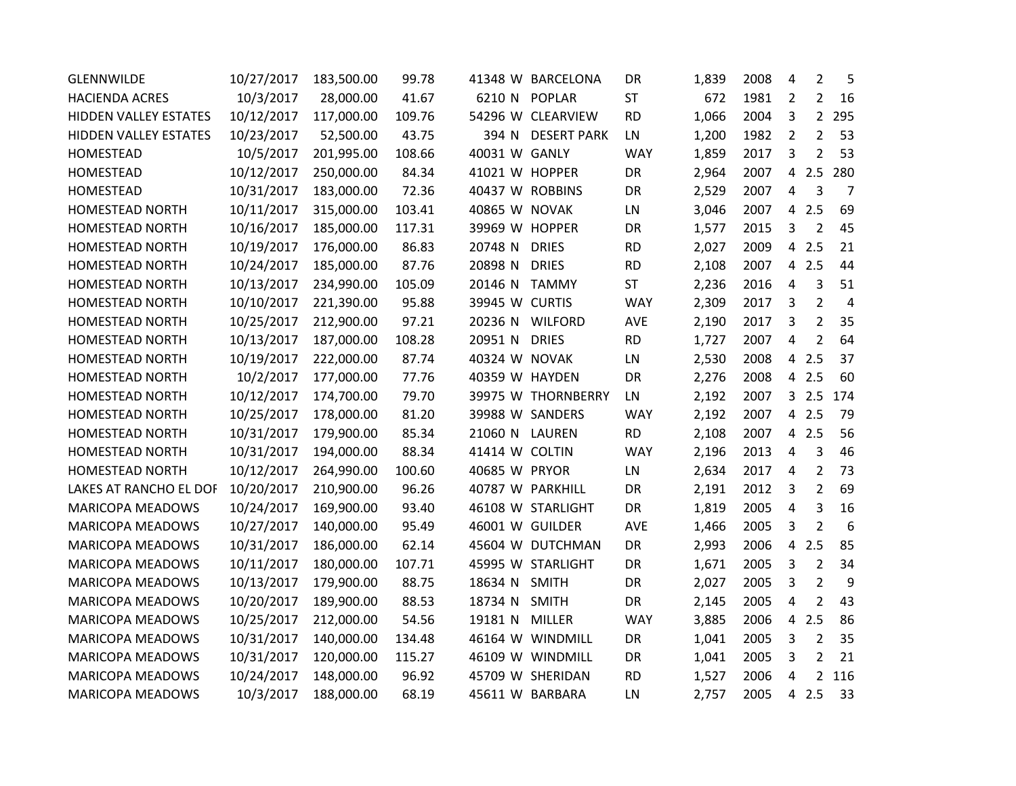| <b>GLENNWILDE</b>       | 10/27/2017 | 183,500.00 | 99.78  |                 | 41348 W BARCELONA  | DR         | 1,839 | 2008 | 4              | $\overline{2}$ | 5              |
|-------------------------|------------|------------|--------|-----------------|--------------------|------------|-------|------|----------------|----------------|----------------|
| <b>HACIENDA ACRES</b>   | 10/3/2017  | 28,000.00  | 41.67  |                 | 6210 N POPLAR      | <b>ST</b>  | 672   | 1981 | 2              | 2              | 16             |
| HIDDEN VALLEY ESTATES   | 10/12/2017 | 117,000.00 | 109.76 |                 | 54296 W CLEARVIEW  | <b>RD</b>  | 1,066 | 2004 | 3              | $2^{\circ}$    | 295            |
| HIDDEN VALLEY ESTATES   | 10/23/2017 | 52,500.00  | 43.75  | 394 N           | <b>DESERT PARK</b> | LN         | 1,200 | 1982 | 2              | $\overline{2}$ | 53             |
| HOMESTEAD               | 10/5/2017  | 201,995.00 | 108.66 | 40031 W GANLY   |                    | <b>WAY</b> | 1,859 | 2017 | 3              | $\overline{2}$ | 53             |
| HOMESTEAD               | 10/12/2017 | 250,000.00 | 84.34  | 41021 W HOPPER  |                    | DR         | 2,964 | 2007 | $\overline{4}$ | 2.5            | 280            |
| <b>HOMESTEAD</b>        | 10/31/2017 | 183,000.00 | 72.36  | 40437 W ROBBINS |                    | DR         | 2,529 | 2007 | 4              | 3              | $\overline{7}$ |
| <b>HOMESTEAD NORTH</b>  | 10/11/2017 | 315,000.00 | 103.41 | 40865 W NOVAK   |                    | LN         | 3,046 | 2007 | $\overline{4}$ | 2.5            | 69             |
| HOMESTEAD NORTH         | 10/16/2017 | 185,000.00 | 117.31 | 39969 W HOPPER  |                    | DR         | 1,577 | 2015 | 3              | 2              | 45             |
| <b>HOMESTEAD NORTH</b>  | 10/19/2017 | 176,000.00 | 86.83  | 20748 N         | <b>DRIES</b>       | <b>RD</b>  | 2,027 | 2009 | 4              | 2.5            | 21             |
| <b>HOMESTEAD NORTH</b>  | 10/24/2017 | 185,000.00 | 87.76  | 20898 N         | <b>DRIES</b>       | <b>RD</b>  | 2,108 | 2007 |                | 4 2.5          | 44             |
| HOMESTEAD NORTH         | 10/13/2017 | 234,990.00 | 105.09 | 20146 N         | <b>TAMMY</b>       | <b>ST</b>  | 2,236 | 2016 | 4              | 3              | 51             |
| <b>HOMESTEAD NORTH</b>  | 10/10/2017 | 221,390.00 | 95.88  | 39945 W CURTIS  |                    | <b>WAY</b> | 2,309 | 2017 | 3              | $\overline{2}$ | $\overline{4}$ |
| <b>HOMESTEAD NORTH</b>  | 10/25/2017 | 212,900.00 | 97.21  |                 | 20236 N WILFORD    | AVE        | 2,190 | 2017 | 3              | $\overline{2}$ | 35             |
| <b>HOMESTEAD NORTH</b>  | 10/13/2017 | 187,000.00 | 108.28 | 20951 N         | <b>DRIES</b>       | <b>RD</b>  | 1,727 | 2007 | 4              | $\overline{2}$ | 64             |
| HOMESTEAD NORTH         | 10/19/2017 | 222,000.00 | 87.74  | 40324 W NOVAK   |                    | LN         | 2,530 | 2008 | $\overline{4}$ | 2.5            | 37             |
| <b>HOMESTEAD NORTH</b>  | 10/2/2017  | 177,000.00 | 77.76  | 40359 W HAYDEN  |                    | DR         | 2,276 | 2008 |                | 4 2.5          | 60             |
| HOMESTEAD NORTH         | 10/12/2017 | 174,700.00 | 79.70  |                 | 39975 W THORNBERRY | LN         | 2,192 | 2007 |                | 32.5           | 174            |
| <b>HOMESTEAD NORTH</b>  | 10/25/2017 | 178,000.00 | 81.20  |                 | 39988 W SANDERS    | <b>WAY</b> | 2,192 | 2007 | 4              | 2.5            | 79             |
| <b>HOMESTEAD NORTH</b>  | 10/31/2017 | 179,900.00 | 85.34  | 21060 N LAUREN  |                    | <b>RD</b>  | 2,108 | 2007 |                | 4 2.5          | 56             |
| HOMESTEAD NORTH         | 10/31/2017 | 194,000.00 | 88.34  | 41414 W COLTIN  |                    | <b>WAY</b> | 2,196 | 2013 | 4              | 3              | 46             |
| <b>HOMESTEAD NORTH</b>  | 10/12/2017 | 264,990.00 | 100.60 | 40685 W PRYOR   |                    | LN         | 2,634 | 2017 | 4              | $\overline{2}$ | 73             |
| LAKES AT RANCHO EL DOF  | 10/20/2017 | 210,900.00 | 96.26  |                 | 40787 W PARKHILL   | DR         | 2,191 | 2012 | 3              | $\overline{2}$ | 69             |
| MARICOPA MEADOWS        | 10/24/2017 | 169,900.00 | 93.40  |                 | 46108 W STARLIGHT  | DR         | 1,819 | 2005 | 4              | 3              | 16             |
| <b>MARICOPA MEADOWS</b> | 10/27/2017 | 140,000.00 | 95.49  | 46001 W GUILDER |                    | AVE        | 1,466 | 2005 | 3              | $\overline{2}$ | 6              |
| <b>MARICOPA MEADOWS</b> | 10/31/2017 | 186,000.00 | 62.14  |                 | 45604 W DUTCHMAN   | <b>DR</b>  | 2,993 | 2006 | 4              | 2.5            | 85             |
| MARICOPA MEADOWS        | 10/11/2017 | 180,000.00 | 107.71 |                 | 45995 W STARLIGHT  | DR         | 1,671 | 2005 | 3              | $\overline{2}$ | 34             |
| <b>MARICOPA MEADOWS</b> | 10/13/2017 | 179,900.00 | 88.75  | 18634 N         | <b>SMITH</b>       | DR         | 2,027 | 2005 | 3              | $\overline{2}$ | 9              |
| <b>MARICOPA MEADOWS</b> | 10/20/2017 | 189,900.00 | 88.53  | 18734 N         | <b>SMITH</b>       | <b>DR</b>  | 2,145 | 2005 | 4              | $\overline{2}$ | 43             |
| MARICOPA MEADOWS        | 10/25/2017 | 212,000.00 | 54.56  | 19181 N         | <b>MILLER</b>      | <b>WAY</b> | 3,885 | 2006 | $\overline{4}$ | 2.5            | 86             |
| <b>MARICOPA MEADOWS</b> | 10/31/2017 | 140,000.00 | 134.48 |                 | 46164 W WINDMILL   | <b>DR</b>  | 1,041 | 2005 | 3              | $\overline{2}$ | 35             |
| <b>MARICOPA MEADOWS</b> | 10/31/2017 | 120,000.00 | 115.27 |                 | 46109 W WINDMILL   | DR         | 1,041 | 2005 | 3              | $\overline{2}$ | 21             |
| <b>MARICOPA MEADOWS</b> | 10/24/2017 | 148,000.00 | 96.92  |                 | 45709 W SHERIDAN   | <b>RD</b>  | 1,527 | 2006 | 4              | $\overline{2}$ | 116            |
| <b>MARICOPA MEADOWS</b> | 10/3/2017  | 188,000.00 | 68.19  |                 | 45611 W BARBARA    | LN         | 2,757 | 2005 | 4              | 2.5            | 33             |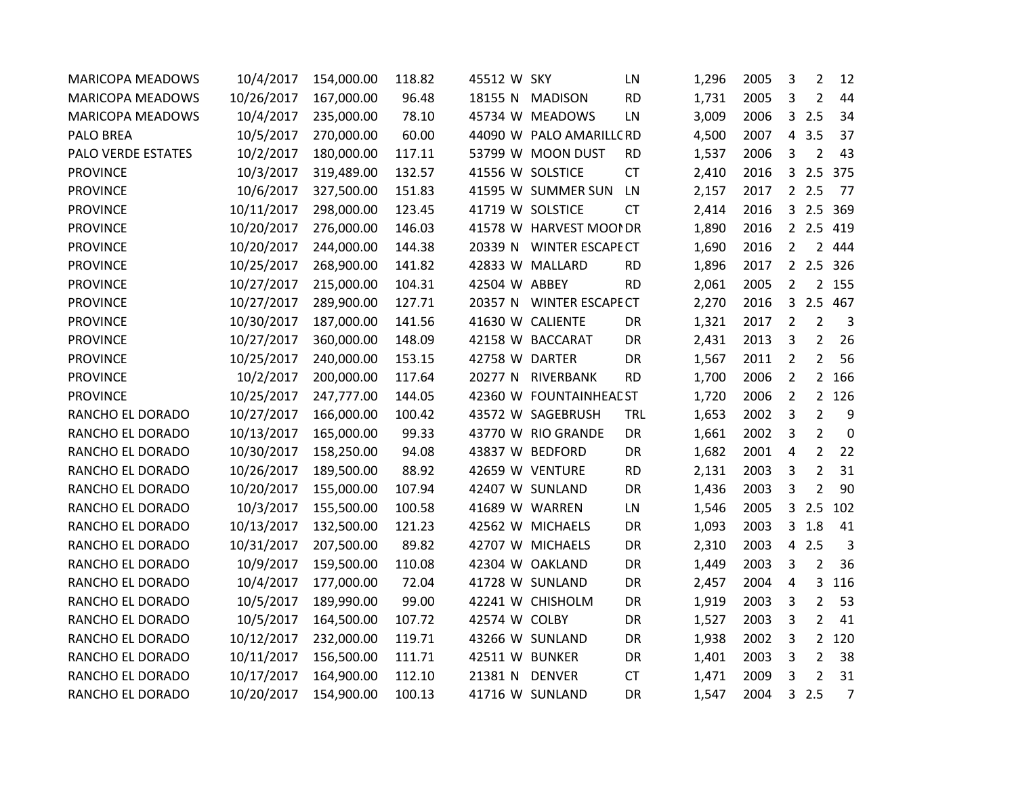| <b>MARICOPA MEADOWS</b> | 10/4/2017  | 154,000.00 | 118.82 | 45512 W SKY    |                          | LN         | 1,296 | 2005 | 3              | $\overline{2}$ | 12             |
|-------------------------|------------|------------|--------|----------------|--------------------------|------------|-------|------|----------------|----------------|----------------|
| <b>MARICOPA MEADOWS</b> | 10/26/2017 | 167,000.00 | 96.48  | 18155 N        | MADISON                  | <b>RD</b>  | 1,731 | 2005 | 3              | 2              | 44             |
| <b>MARICOPA MEADOWS</b> | 10/4/2017  | 235,000.00 | 78.10  |                | 45734 W MEADOWS          | LN         | 3,009 | 2006 |                | 32.5           | 34             |
| <b>PALO BREA</b>        | 10/5/2017  | 270,000.00 | 60.00  |                | 44090 W PALO AMARILLC RD |            | 4,500 | 2007 | $\overline{4}$ | 3.5            | 37             |
| PALO VERDE ESTATES      | 10/2/2017  | 180,000.00 | 117.11 |                | 53799 W MOON DUST        | <b>RD</b>  | 1,537 | 2006 | 3              | $\overline{2}$ | 43             |
| <b>PROVINCE</b>         | 10/3/2017  | 319,489.00 | 132.57 |                | 41556 W SOLSTICE         | <b>CT</b>  | 2,410 | 2016 |                | 32.5           | 375            |
| <b>PROVINCE</b>         | 10/6/2017  | 327,500.00 | 151.83 |                | 41595 W SUMMER SUN       | LN         | 2,157 | 2017 |                | 2.5            | 77             |
| <b>PROVINCE</b>         | 10/11/2017 | 298,000.00 | 123.45 |                | 41719 W SOLSTICE         | <b>CT</b>  | 2,414 | 2016 |                | 32.5           | 369            |
| <b>PROVINCE</b>         | 10/20/2017 | 276,000.00 | 146.03 |                | 41578 W HARVEST MOOI DR  |            | 1,890 | 2016 |                | 2 2.5 419      |                |
| <b>PROVINCE</b>         | 10/20/2017 | 244,000.00 | 144.38 |                | 20339 N WINTER ESCAPE CT |            | 1,690 | 2016 | $\overline{2}$ | $\overline{2}$ | 444            |
| <b>PROVINCE</b>         | 10/25/2017 | 268,900.00 | 141.82 |                | 42833 W MALLARD          | <b>RD</b>  | 1,896 | 2017 |                | 2.5            | 326            |
| <b>PROVINCE</b>         | 10/27/2017 | 215,000.00 | 104.31 | 42504 W ABBEY  |                          | <b>RD</b>  | 2,061 | 2005 | $\overline{2}$ | $\overline{2}$ | 155            |
| <b>PROVINCE</b>         | 10/27/2017 | 289,900.00 | 127.71 |                | 20357 N WINTER ESCAPE CT |            | 2,270 | 2016 |                | 3 2.5 467      |                |
| <b>PROVINCE</b>         | 10/30/2017 | 187,000.00 | 141.56 |                | 41630 W CALIENTE         | DR         | 1,321 | 2017 | $\overline{2}$ | 2              | $\overline{3}$ |
| <b>PROVINCE</b>         | 10/27/2017 | 360,000.00 | 148.09 |                | 42158 W BACCARAT         | DR         | 2,431 | 2013 | 3              | $\overline{2}$ | 26             |
| <b>PROVINCE</b>         | 10/25/2017 | 240,000.00 | 153.15 | 42758 W DARTER |                          | DR         | 1,567 | 2011 | $\overline{2}$ | $\overline{2}$ | 56             |
| <b>PROVINCE</b>         | 10/2/2017  | 200,000.00 | 117.64 |                | 20277 N RIVERBANK        | <b>RD</b>  | 1,700 | 2006 | $\overline{2}$ | $2^{\circ}$    | 166            |
| <b>PROVINCE</b>         | 10/25/2017 | 247,777.00 | 144.05 |                | 42360 W FOUNTAINHEAE ST  |            | 1,720 | 2006 | $\overline{2}$ |                | 2 126          |
| RANCHO EL DORADO        | 10/27/2017 | 166,000.00 | 100.42 |                | 43572 W SAGEBRUSH        | <b>TRL</b> | 1,653 | 2002 | 3              | $\overline{2}$ | 9              |
| RANCHO EL DORADO        | 10/13/2017 | 165,000.00 | 99.33  |                | 43770 W RIO GRANDE       | DR         | 1,661 | 2002 | 3              | $\overline{2}$ | $\mathbf 0$    |
| RANCHO EL DORADO        | 10/30/2017 | 158,250.00 | 94.08  |                | 43837 W BEDFORD          | DR         | 1,682 | 2001 | 4              | $\overline{2}$ | 22             |
| RANCHO EL DORADO        | 10/26/2017 | 189,500.00 | 88.92  |                | 42659 W VENTURE          | <b>RD</b>  | 2,131 | 2003 | 3              | $\overline{2}$ | 31             |
| RANCHO EL DORADO        | 10/20/2017 | 155,000.00 | 107.94 |                | 42407 W SUNLAND          | DR         | 1,436 | 2003 | 3              | $\overline{2}$ | 90             |
| RANCHO EL DORADO        | 10/3/2017  | 155,500.00 | 100.58 | 41689 W WARREN |                          | LN         | 1,546 | 2005 | 3              | 2.5            | 102            |
| RANCHO EL DORADO        | 10/13/2017 | 132,500.00 | 121.23 |                | 42562 W MICHAELS         | DR         | 1,093 | 2003 | 3              | 1.8            | 41             |
| RANCHO EL DORADO        | 10/31/2017 | 207,500.00 | 89.82  |                | 42707 W MICHAELS         | DR         | 2,310 | 2003 | $\overline{4}$ | 2.5            | $\overline{3}$ |
| RANCHO EL DORADO        | 10/9/2017  | 159,500.00 | 110.08 |                | 42304 W OAKLAND          | DR         | 1,449 | 2003 | 3              | $\overline{2}$ | 36             |
| RANCHO EL DORADO        | 10/4/2017  | 177,000.00 | 72.04  |                | 41728 W SUNLAND          | DR         | 2,457 | 2004 | 4              | $\mathbf{3}$   | 116            |
| RANCHO EL DORADO        | 10/5/2017  | 189,990.00 | 99.00  |                | 42241 W CHISHOLM         | DR         | 1,919 | 2003 | 3              | $\overline{2}$ | 53             |
| RANCHO EL DORADO        | 10/5/2017  | 164,500.00 | 107.72 | 42574 W COLBY  |                          | DR         | 1,527 | 2003 | 3              | $\overline{2}$ | 41             |
| RANCHO EL DORADO        | 10/12/2017 | 232,000.00 | 119.71 |                | 43266 W SUNLAND          | DR         | 1,938 | 2002 | 3              |                | 2 120          |
| RANCHO EL DORADO        | 10/11/2017 | 156,500.00 | 111.71 | 42511 W BUNKER |                          | DR         | 1,401 | 2003 | 3              | $\overline{2}$ | 38             |
| RANCHO EL DORADO        | 10/17/2017 | 164,900.00 | 112.10 | 21381 N        | <b>DENVER</b>            | <b>CT</b>  | 1,471 | 2009 | 3              | $\overline{2}$ | 31             |
| RANCHO EL DORADO        | 10/20/2017 | 154,900.00 | 100.13 |                | 41716 W SUNLAND          | DR         | 1,547 | 2004 | $\mathbf{3}$   | 2.5            | $\overline{7}$ |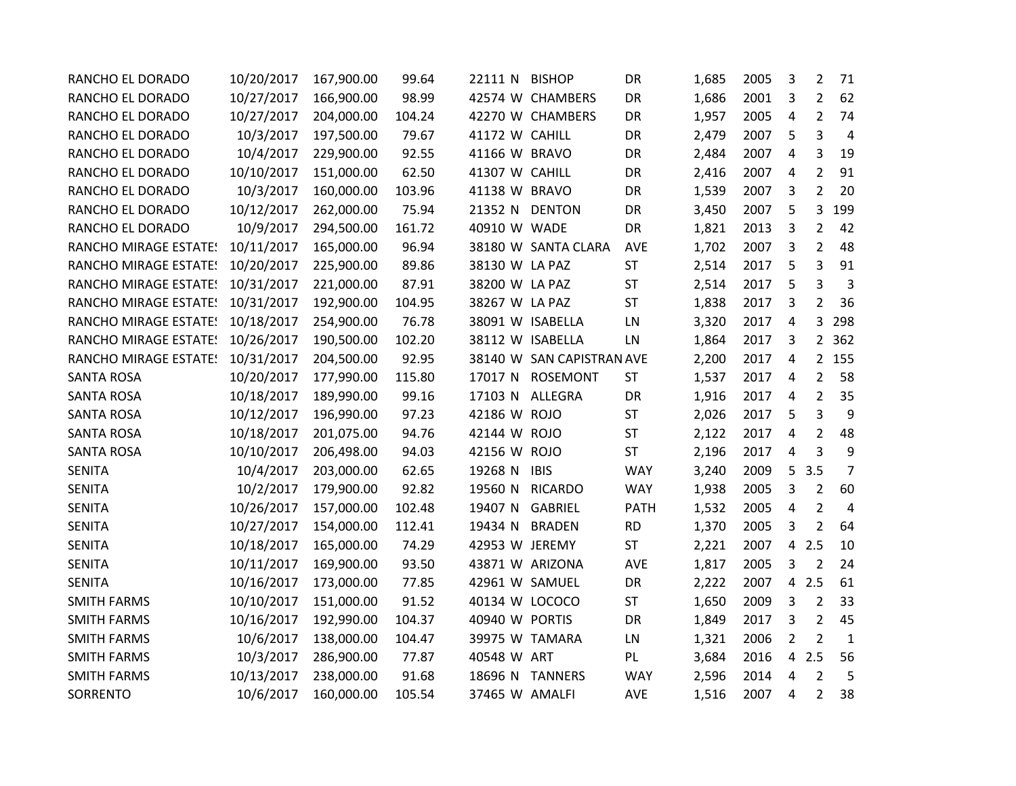| RANCHO EL DORADO                 | 10/20/2017 | 167,900.00 | 99.64  | 22111 N         | <b>BISHOP</b>             | DR          | 1,685 | 2005 | 3              | $\overline{2}$ | 71             |
|----------------------------------|------------|------------|--------|-----------------|---------------------------|-------------|-------|------|----------------|----------------|----------------|
| RANCHO EL DORADO                 | 10/27/2017 | 166,900.00 | 98.99  |                 | 42574 W CHAMBERS          | DR          | 1,686 | 2001 | 3              | $\overline{2}$ | 62             |
| RANCHO EL DORADO                 | 10/27/2017 | 204,000.00 | 104.24 |                 | 42270 W CHAMBERS          | DR          | 1,957 | 2005 | 4              | $\overline{2}$ | 74             |
| RANCHO EL DORADO                 | 10/3/2017  | 197,500.00 | 79.67  | 41172 W CAHILL  |                           | DR          | 2,479 | 2007 | 5              | 3              | $\overline{4}$ |
| RANCHO EL DORADO                 | 10/4/2017  | 229,900.00 | 92.55  | 41166 W BRAVO   |                           | DR          | 2,484 | 2007 | 4              | 3              | 19             |
| RANCHO EL DORADO                 | 10/10/2017 | 151,000.00 | 62.50  | 41307 W CAHILL  |                           | DR          | 2,416 | 2007 | 4              | $\overline{2}$ | 91             |
| RANCHO EL DORADO                 | 10/3/2017  | 160,000.00 | 103.96 | 41138 W BRAVO   |                           | DR          | 1,539 | 2007 | 3              | $\overline{2}$ | 20             |
| RANCHO EL DORADO                 | 10/12/2017 | 262,000.00 | 75.94  | 21352 N DENTON  |                           | DR          | 3,450 | 2007 | 5              | $\mathbf{3}$   | 199            |
| RANCHO EL DORADO                 | 10/9/2017  | 294,500.00 | 161.72 | 40910 W WADE    |                           | DR          | 1,821 | 2013 | 3              | $\overline{2}$ | 42             |
| RANCHO MIRAGE ESTATE!            | 10/11/2017 | 165,000.00 | 96.94  |                 | 38180 W SANTA CLARA       | <b>AVE</b>  | 1,702 | 2007 | 3              | $\overline{2}$ | 48             |
| RANCHO MIRAGE ESTATE: 10/20/2017 |            | 225,900.00 | 89.86  | 38130 W LA PAZ  |                           | <b>ST</b>   | 2,514 | 2017 | 5              | 3              | 91             |
| <b>RANCHO MIRAGE ESTATE!</b>     | 10/31/2017 | 221,000.00 | 87.91  | 38200 W LA PAZ  |                           | <b>ST</b>   | 2,514 | 2017 | 5              | 3              | $\overline{3}$ |
| <b>RANCHO MIRAGE ESTATE!</b>     | 10/31/2017 | 192,900.00 | 104.95 | 38267 W LA PAZ  |                           | <b>ST</b>   | 1,838 | 2017 | 3              | $\overline{2}$ | 36             |
| <b>RANCHO MIRAGE ESTATE!</b>     | 10/18/2017 | 254,900.00 | 76.78  |                 | 38091 W ISABELLA          | LN          | 3,320 | 2017 | 4              | $\overline{3}$ | 298            |
| <b>RANCHO MIRAGE ESTATE!</b>     | 10/26/2017 | 190,500.00 | 102.20 |                 | 38112 W ISABELLA          | LN          | 1,864 | 2017 | 3              | $2^{\circ}$    | 362            |
| <b>RANCHO MIRAGE ESTATE!</b>     | 10/31/2017 | 204,500.00 | 92.95  |                 | 38140 W SAN CAPISTRAN AVE |             | 2,200 | 2017 | 4              | $\overline{2}$ | 155            |
| <b>SANTA ROSA</b>                | 10/20/2017 | 177,990.00 | 115.80 | 17017 N         | ROSEMONT                  | <b>ST</b>   | 1,537 | 2017 | 4              | $\overline{2}$ | 58             |
| <b>SANTA ROSA</b>                | 10/18/2017 | 189,990.00 | 99.16  | 17103 N         | <b>ALLEGRA</b>            | DR          | 1,916 | 2017 | 4              | $\overline{2}$ | 35             |
| <b>SANTA ROSA</b>                | 10/12/2017 | 196,990.00 | 97.23  | 42186 W ROJO    |                           | ST          | 2,026 | 2017 | 5              | 3              | 9              |
| <b>SANTA ROSA</b>                | 10/18/2017 | 201,075.00 | 94.76  | 42144 W ROJO    |                           | <b>ST</b>   | 2,122 | 2017 | 4              | $\overline{2}$ | 48             |
| <b>SANTA ROSA</b>                | 10/10/2017 | 206,498.00 | 94.03  | 42156 W ROJO    |                           | <b>ST</b>   | 2,196 | 2017 | 4              | 3              | 9              |
| <b>SENITA</b>                    | 10/4/2017  | 203,000.00 | 62.65  | 19268 N         | <b>IBIS</b>               | <b>WAY</b>  | 3,240 | 2009 | 5              | 3.5            | $\overline{7}$ |
| <b>SENITA</b>                    | 10/2/2017  | 179,900.00 | 92.82  | 19560 N         | <b>RICARDO</b>            | <b>WAY</b>  | 1,938 | 2005 | 3              | $\overline{2}$ | 60             |
| <b>SENITA</b>                    | 10/26/2017 | 157,000.00 | 102.48 | 19407 N         | <b>GABRIEL</b>            | <b>PATH</b> | 1,532 | 2005 | 4              | $\overline{2}$ | $\overline{4}$ |
| <b>SENITA</b>                    | 10/27/2017 | 154,000.00 | 112.41 | 19434 N         | <b>BRADEN</b>             | <b>RD</b>   | 1,370 | 2005 | 3              | $\overline{2}$ | 64             |
| <b>SENITA</b>                    | 10/18/2017 | 165,000.00 | 74.29  | 42953 W JEREMY  |                           | <b>ST</b>   | 2,221 | 2007 | $\overline{4}$ | 2.5            | 10             |
| <b>SENITA</b>                    | 10/11/2017 | 169,900.00 | 93.50  | 43871 W ARIZONA |                           | <b>AVE</b>  | 1,817 | 2005 | 3              | $\overline{2}$ | 24             |
| <b>SENITA</b>                    | 10/16/2017 | 173,000.00 | 77.85  | 42961 W SAMUEL  |                           | DR          | 2,222 | 2007 | $\overline{4}$ | 2.5            | 61             |
| <b>SMITH FARMS</b>               | 10/10/2017 | 151,000.00 | 91.52  | 40134 W LOCOCO  |                           | ST          | 1,650 | 2009 | 3              | $\overline{2}$ | 33             |
| <b>SMITH FARMS</b>               | 10/16/2017 | 192,990.00 | 104.37 | 40940 W PORTIS  |                           | DR          | 1,849 | 2017 | 3              | $\overline{2}$ | 45             |
| <b>SMITH FARMS</b>               | 10/6/2017  | 138,000.00 | 104.47 | 39975 W TAMARA  |                           | LN          | 1,321 | 2006 | $\overline{2}$ | $\overline{2}$ | $\mathbf{1}$   |
| <b>SMITH FARMS</b>               | 10/3/2017  | 286,900.00 | 77.87  | 40548 W ART     |                           | PL          | 3,684 | 2016 | $\overline{4}$ | 2.5            | 56             |
| <b>SMITH FARMS</b>               | 10/13/2017 | 238,000.00 | 91.68  |                 | 18696 N TANNERS           | <b>WAY</b>  | 2,596 | 2014 | 4              | $\overline{2}$ | 5              |
| SORRENTO                         | 10/6/2017  | 160,000.00 | 105.54 | 37465 W AMALFI  |                           | <b>AVE</b>  | 1,516 | 2007 | 4              | $\overline{2}$ | 38             |